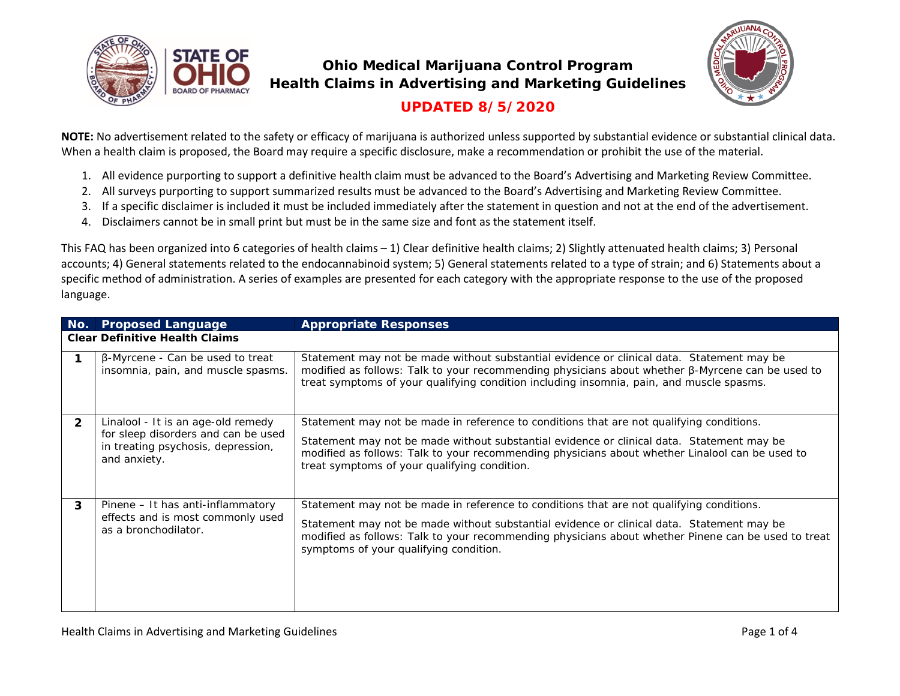



## **UPDATED 8/5/2020**

**NOTE:** No advertisement related to the safety or efficacy of marijuana is authorized unless supported by substantial evidence or substantial clinical data. When a health claim is proposed, the Board may require a specific disclosure, make a recommendation or prohibit the use of the material.

- 1. All evidence purporting to support a definitive health claim must be advanced to the Board's Advertising and Marketing Review Committee.
- 2. All surveys purporting to support summarized results must be advanced to the Board's Advertising and Marketing Review Committee.
- 3. If a specific disclaimer is included it must be included immediately after the statement in question and not at the end of the advertisement.
- 4. Disclaimers cannot be in small print but must be in the same size and font as the statement itself.

This FAQ has been organized into 6 categories of health claims – 1) Clear definitive health claims; 2) Slightly attenuated health claims; 3) Personal accounts; 4) General statements related to the endocannabinoid system; 5) General statements related to a type of strain; and 6) Statements about a specific method of administration. A series of examples are presented for each category with the appropriate response to the use of the proposed language.

| No.          | <b>Proposed Language</b>                                                                                                        | <b>Appropriate Responses</b>                                                                                                                                                                                                                                                                                                             |  |  |  |
|--------------|---------------------------------------------------------------------------------------------------------------------------------|------------------------------------------------------------------------------------------------------------------------------------------------------------------------------------------------------------------------------------------------------------------------------------------------------------------------------------------|--|--|--|
|              | <b>Clear Definitive Health Claims</b>                                                                                           |                                                                                                                                                                                                                                                                                                                                          |  |  |  |
|              | $\beta$ -Myrcene - Can be used to treat<br>insomnia, pain, and muscle spasms.                                                   | Statement may not be made without substantial evidence or clinical data. Statement may be<br>modified as follows: Talk to your recommending physicians about whether $\beta$ -Myrcene can be used to<br>treat symptoms of your qualifying condition including insomnia, pain, and muscle spasms.                                         |  |  |  |
| $\mathbf{2}$ | Linalool - It is an age-old remedy<br>for sleep disorders and can be used<br>in treating psychosis, depression,<br>and anxiety. | Statement may not be made in reference to conditions that are not qualifying conditions.<br>Statement may not be made without substantial evidence or clinical data. Statement may be<br>modified as follows: Talk to your recommending physicians about whether Linalool can be used to<br>treat symptoms of your qualifying condition. |  |  |  |
| 3            | Pinene – It has anti-inflammatory<br>effects and is most commonly used<br>as a bronchodilator.                                  | Statement may not be made in reference to conditions that are not qualifying conditions.<br>Statement may not be made without substantial evidence or clinical data. Statement may be<br>modified as follows: Talk to your recommending physicians about whether Pinene can be used to treat<br>symptoms of your qualifying condition.   |  |  |  |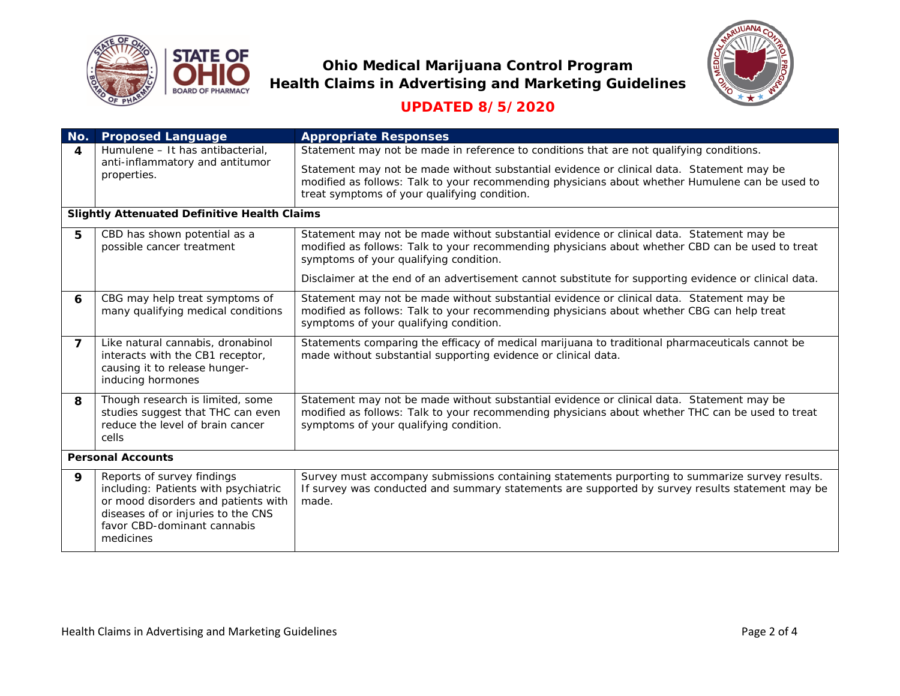



## **UPDATED 8/5/2020**

| No.                                                 | <b>Proposed Language</b>                                                                                                                                                                    | <b>Appropriate Responses</b>                                                                                                                                                                                                                 |  |  |
|-----------------------------------------------------|---------------------------------------------------------------------------------------------------------------------------------------------------------------------------------------------|----------------------------------------------------------------------------------------------------------------------------------------------------------------------------------------------------------------------------------------------|--|--|
| $\boldsymbol{A}$                                    | Humulene - It has antibacterial,<br>anti-inflammatory and antitumor<br>properties.                                                                                                          | Statement may not be made in reference to conditions that are not qualifying conditions.                                                                                                                                                     |  |  |
|                                                     |                                                                                                                                                                                             | Statement may not be made without substantial evidence or clinical data. Statement may be<br>modified as follows: Talk to your recommending physicians about whether Humulene can be used to<br>treat symptoms of your qualifying condition. |  |  |
| <b>Slightly Attenuated Definitive Health Claims</b> |                                                                                                                                                                                             |                                                                                                                                                                                                                                              |  |  |
| 5                                                   | CBD has shown potential as a<br>possible cancer treatment                                                                                                                                   | Statement may not be made without substantial evidence or clinical data. Statement may be<br>modified as follows: Talk to your recommending physicians about whether CBD can be used to treat<br>symptoms of your qualifying condition.      |  |  |
|                                                     |                                                                                                                                                                                             | Disclaimer at the end of an advertisement cannot substitute for supporting evidence or clinical data.                                                                                                                                        |  |  |
| 6                                                   | CBG may help treat symptoms of<br>many qualifying medical conditions                                                                                                                        | Statement may not be made without substantial evidence or clinical data. Statement may be<br>modified as follows: Talk to your recommending physicians about whether CBG can help treat<br>symptoms of your qualifying condition.            |  |  |
| $\overline{7}$                                      | Like natural cannabis, dronabinol<br>interacts with the CB1 receptor,<br>causing it to release hunger-<br>inducing hormones                                                                 | Statements comparing the efficacy of medical marijuana to traditional pharmaceuticals cannot be<br>made without substantial supporting evidence or clinical data.                                                                            |  |  |
| 8                                                   | Though research is limited, some<br>studies suggest that THC can even<br>reduce the level of brain cancer<br>cells                                                                          | Statement may not be made without substantial evidence or clinical data. Statement may be<br>modified as follows: Talk to your recommending physicians about whether THC can be used to treat<br>symptoms of your qualifying condition.      |  |  |
| <b>Personal Accounts</b>                            |                                                                                                                                                                                             |                                                                                                                                                                                                                                              |  |  |
| 9                                                   | Reports of survey findings<br>including: Patients with psychiatric<br>or mood disorders and patients with<br>diseases of or injuries to the CNS<br>favor CBD-dominant cannabis<br>medicines | Survey must accompany submissions containing statements purporting to summarize survey results.<br>If survey was conducted and summary statements are supported by survey results statement may be<br>made.                                  |  |  |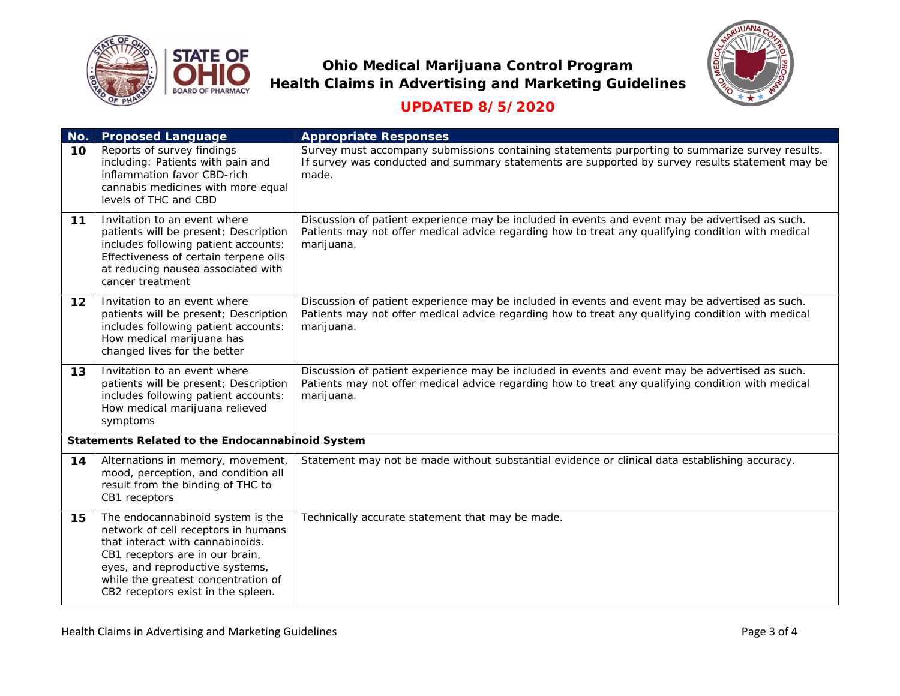



## **UPDATED 8/5/2020**

| No. | <b>Proposed Language</b>                                                                                                                                                                                                                                        | <b>Appropriate Responses</b>                                                                                                                                                                                        |
|-----|-----------------------------------------------------------------------------------------------------------------------------------------------------------------------------------------------------------------------------------------------------------------|---------------------------------------------------------------------------------------------------------------------------------------------------------------------------------------------------------------------|
| 10  | Reports of survey findings<br>including: Patients with pain and<br>inflammation favor CBD-rich<br>cannabis medicines with more equal<br>levels of THC and CBD                                                                                                   | Survey must accompany submissions containing statements purporting to summarize survey results.<br>If survey was conducted and summary statements are supported by survey results statement may be<br>made.         |
| 11  | Invitation to an event where<br>patients will be present; Description<br>includes following patient accounts:<br>Effectiveness of certain terpene oils<br>at reducing nausea associated with<br>cancer treatment                                                | Discussion of patient experience may be included in events and event may be advertised as such.<br>Patients may not offer medical advice regarding how to treat any qualifying condition with medical<br>marijuana. |
| 12  | Invitation to an event where<br>patients will be present; Description<br>includes following patient accounts:<br>How medical marijuana has<br>changed lives for the better                                                                                      | Discussion of patient experience may be included in events and event may be advertised as such.<br>Patients may not offer medical advice regarding how to treat any qualifying condition with medical<br>marijuana. |
| 13  | Invitation to an event where<br>patients will be present; Description<br>includes following patient accounts:<br>How medical marijuana relieved<br>symptoms                                                                                                     | Discussion of patient experience may be included in events and event may be advertised as such.<br>Patients may not offer medical advice regarding how to treat any qualifying condition with medical<br>marijuana. |
|     | Statements Related to the Endocannabinoid System                                                                                                                                                                                                                |                                                                                                                                                                                                                     |
| 14  | Alternations in memory, movement,<br>mood, perception, and condition all<br>result from the binding of THC to<br>CB1 receptors                                                                                                                                  | Statement may not be made without substantial evidence or clinical data establishing accuracy.                                                                                                                      |
| 15  | The endocannabinoid system is the<br>network of cell receptors in humans<br>that interact with cannabinoids.<br>CB1 receptors are in our brain,<br>eyes, and reproductive systems,<br>while the greatest concentration of<br>CB2 receptors exist in the spleen. | Technically accurate statement that may be made.                                                                                                                                                                    |